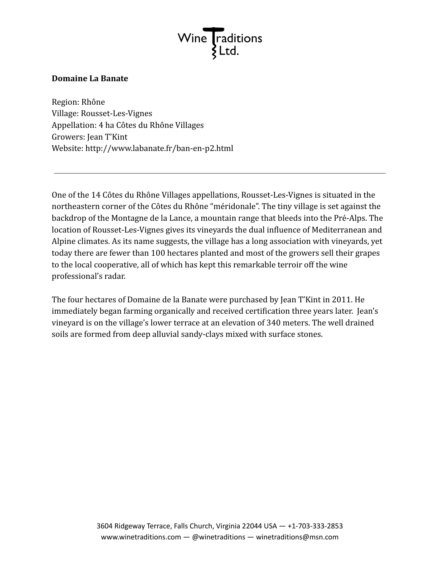

## **Domaine La Banate**

Region: Rhône Village: Rousset-Les-Vignes Appellation: 4 ha Côtes du Rhône Villages Growers: Jean T'Kint Website: http://www.labanate.fr/ban-en-p2.html

One of the 14 Côtes du Rhône Villages appellations, Rousset-Les-Vignes is situated in the northeastern corner of the Côtes du Rhône "méridonale". The tiny village is set against the backdrop of the Montagne de la Lance, a mountain range that bleeds into the Pré-Alps. The location of Rousset-Les-Vignes gives its vineyards the dual influence of Mediterranean and Alpine climates. As its name suggests, the village has a long association with vineyards, yet today there are fewer than 100 hectares planted and most of the growers sell their grapes to the local cooperative, all of which has kept this remarkable terroir off the wine professional's radar.

The four hectares of Domaine de la Banate were purchased by Jean T'Kint in 2011. He immediately began farming organically and received certification three years later. Jean's vineyard is on the village's lower terrace at an elevation of 340 meters. The well drained soils are formed from deep alluvial sandy-clays mixed with surface stones.